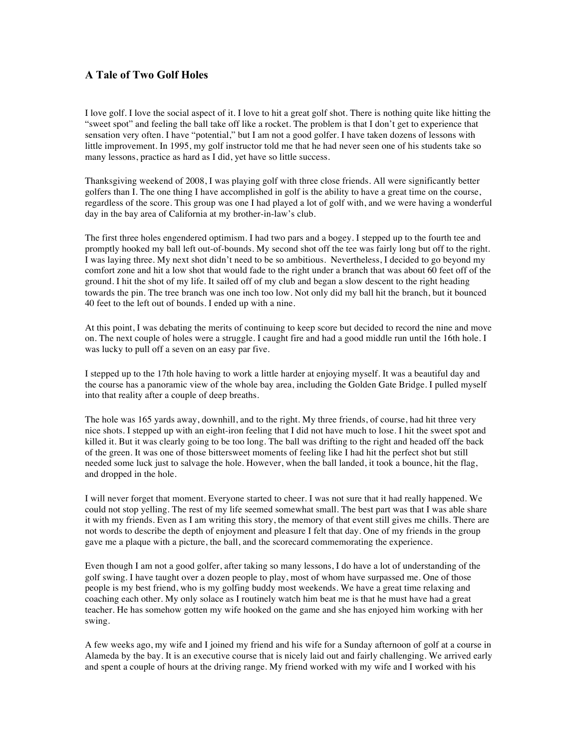## **A Tale of Two Golf Holes**

I love golf. I love the social aspect of it. I love to hit a great golf shot. There is nothing quite like hitting the "sweet spot" and feeling the ball take off like a rocket. The problem is that I don't get to experience that sensation very often. I have "potential," but I am not a good golfer. I have taken dozens of lessons with little improvement. In 1995, my golf instructor told me that he had never seen one of his students take so many lessons, practice as hard as I did, yet have so little success.

Thanksgiving weekend of 2008, I was playing golf with three close friends. All were significantly better golfers than I. The one thing I have accomplished in golf is the ability to have a great time on the course, regardless of the score. This group was one I had played a lot of golf with, and we were having a wonderful day in the bay area of California at my brother-in-law's club.

The first three holes engendered optimism. I had two pars and a bogey. I stepped up to the fourth tee and promptly hooked my ball left out-of-bounds. My second shot off the tee was fairly long but off to the right. I was laying three. My next shot didn't need to be so ambitious. Nevertheless, I decided to go beyond my comfort zone and hit a low shot that would fade to the right under a branch that was about 60 feet off of the ground. I hit the shot of my life. It sailed off of my club and began a slow descent to the right heading towards the pin. The tree branch was one inch too low. Not only did my ball hit the branch, but it bounced 40 feet to the left out of bounds. I ended up with a nine.

At this point, I was debating the merits of continuing to keep score but decided to record the nine and move on. The next couple of holes were a struggle. I caught fire and had a good middle run until the 16th hole. I was lucky to pull off a seven on an easy par five.

I stepped up to the 17th hole having to work a little harder at enjoying myself. It was a beautiful day and the course has a panoramic view of the whole bay area, including the Golden Gate Bridge. I pulled myself into that reality after a couple of deep breaths.

The hole was 165 yards away, downhill, and to the right. My three friends, of course, had hit three very nice shots. I stepped up with an eight-iron feeling that I did not have much to lose. I hit the sweet spot and killed it. But it was clearly going to be too long. The ball was drifting to the right and headed off the back of the green. It was one of those bittersweet moments of feeling like I had hit the perfect shot but still needed some luck just to salvage the hole. However, when the ball landed, it took a bounce, hit the flag, and dropped in the hole.

I will never forget that moment. Everyone started to cheer. I was not sure that it had really happened. We could not stop yelling. The rest of my life seemed somewhat small. The best part was that I was able share it with my friends. Even as I am writing this story, the memory of that event still gives me chills. There are not words to describe the depth of enjoyment and pleasure I felt that day. One of my friends in the group gave me a plaque with a picture, the ball, and the scorecard commemorating the experience.

Even though I am not a good golfer, after taking so many lessons, I do have a lot of understanding of the golf swing. I have taught over a dozen people to play, most of whom have surpassed me. One of those people is my best friend, who is my golfing buddy most weekends. We have a great time relaxing and coaching each other. My only solace as I routinely watch him beat me is that he must have had a great teacher. He has somehow gotten my wife hooked on the game and she has enjoyed him working with her swing.

A few weeks ago, my wife and I joined my friend and his wife for a Sunday afternoon of golf at a course in Alameda by the bay. It is an executive course that is nicely laid out and fairly challenging. We arrived early and spent a couple of hours at the driving range. My friend worked with my wife and I worked with his